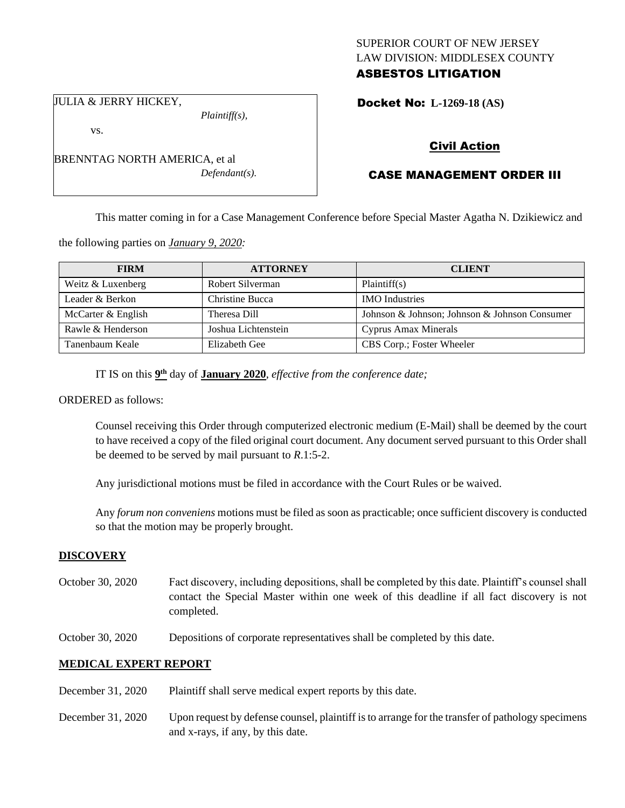## SUPERIOR COURT OF NEW JERSEY LAW DIVISION: MIDDLESEX COUNTY ASBESTOS LITIGATION

JULIA & JERRY HICKEY,

*Plaintiff(s),*

Docket No: **L-1269-18 (AS)** 

vs.

BRENNTAG NORTH AMERICA, et al *Defendant(s).*

# Civil Action

# CASE MANAGEMENT ORDER III

This matter coming in for a Case Management Conference before Special Master Agatha N. Dzikiewicz and

the following parties on *January 9, 2020:*

| <b>FIRM</b>        | <b>ATTORNEY</b>     | <b>CLIENT</b>                                 |
|--------------------|---------------------|-----------------------------------------------|
| Weitz & Luxenberg  | Robert Silverman    | Plaintiff(s)                                  |
| Leader & Berkon    | Christine Bucca     | <b>IMO</b> Industries                         |
| McCarter & English | Theresa Dill        | Johnson & Johnson; Johnson & Johnson Consumer |
| Rawle & Henderson  | Joshua Lichtenstein | Cyprus Amax Minerals                          |
| Tanenbaum Keale    | Elizabeth Gee       | CBS Corp.; Foster Wheeler                     |

IT IS on this  $9<sup>th</sup>$  day of **January 2020**, *effective from the conference date*;

ORDERED as follows:

Counsel receiving this Order through computerized electronic medium (E-Mail) shall be deemed by the court to have received a copy of the filed original court document. Any document served pursuant to this Order shall be deemed to be served by mail pursuant to *R*.1:5-2.

Any jurisdictional motions must be filed in accordance with the Court Rules or be waived.

Any *forum non conveniens* motions must be filed as soon as practicable; once sufficient discovery is conducted so that the motion may be properly brought.

## **DISCOVERY**

- October 30, 2020 Fact discovery, including depositions, shall be completed by this date. Plaintiff's counsel shall contact the Special Master within one week of this deadline if all fact discovery is not completed.
- October 30, 2020 Depositions of corporate representatives shall be completed by this date.

## **MEDICAL EXPERT REPORT**

- December 31, 2020 Plaintiff shall serve medical expert reports by this date.
- December 31, 2020 Upon request by defense counsel, plaintiff is to arrange for the transfer of pathology specimens and x-rays, if any, by this date.